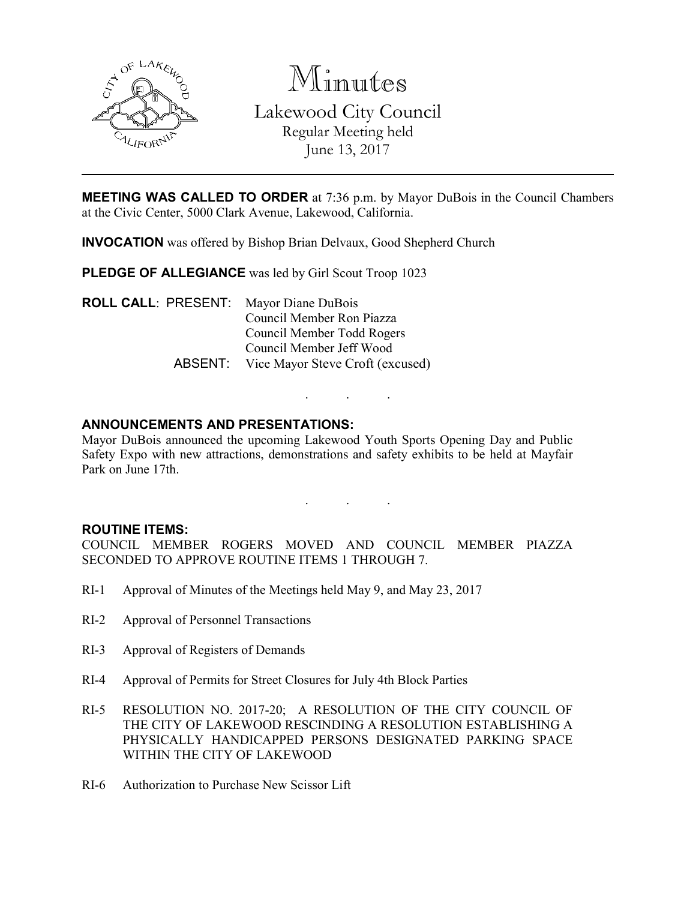

Minutes

Lakewood City Council Regular Meeting held June 13, 2017

**MEETING WAS CALLED TO ORDER** at 7:36 p.m. by Mayor DuBois in the Council Chambers at the Civic Center, 5000 Clark Avenue, Lakewood, California.

INVOCATION was offered by Bishop Brian Delvaux, Good Shepherd Church

PLEDGE OF ALLEGIANCE was led by Girl Scout Troop 1023

ROLL CALL: PRESENT: Mayor Diane DuBois Council Member Ron Piazza Council Member Todd Rogers Council Member Jeff Wood ABSENT: Vice Mayor Steve Croft (excused)

## ANNOUNCEMENTS AND PRESENTATIONS:

Mayor DuBois announced the upcoming Lakewood Youth Sports Opening Day and Public Safety Expo with new attractions, demonstrations and safety exhibits to be held at Mayfair Park on June 17th.

. . .

. . .

#### ROUTINE ITEMS:

COUNCIL MEMBER ROGERS MOVED AND COUNCIL MEMBER PIAZZA SECONDED TO APPROVE ROUTINE ITEMS 1 THROUGH 7.

- RI-1 Approval of Minutes of the Meetings held May 9, and May 23, 2017
- RI-2 Approval of Personnel Transactions
- RI-3 Approval of Registers of Demands
- RI-4 Approval of Permits for Street Closures for July 4th Block Parties
- RI-5 RESOLUTION NO. 2017-20; A RESOLUTION OF THE CITY COUNCIL OF THE CITY OF LAKEWOOD RESCINDING A RESOLUTION ESTABLISHING A PHYSICALLY HANDICAPPED PERSONS DESIGNATED PARKING SPACE WITHIN THE CITY OF LAKEWOOD
- RI-6 Authorization to Purchase New Scissor Lift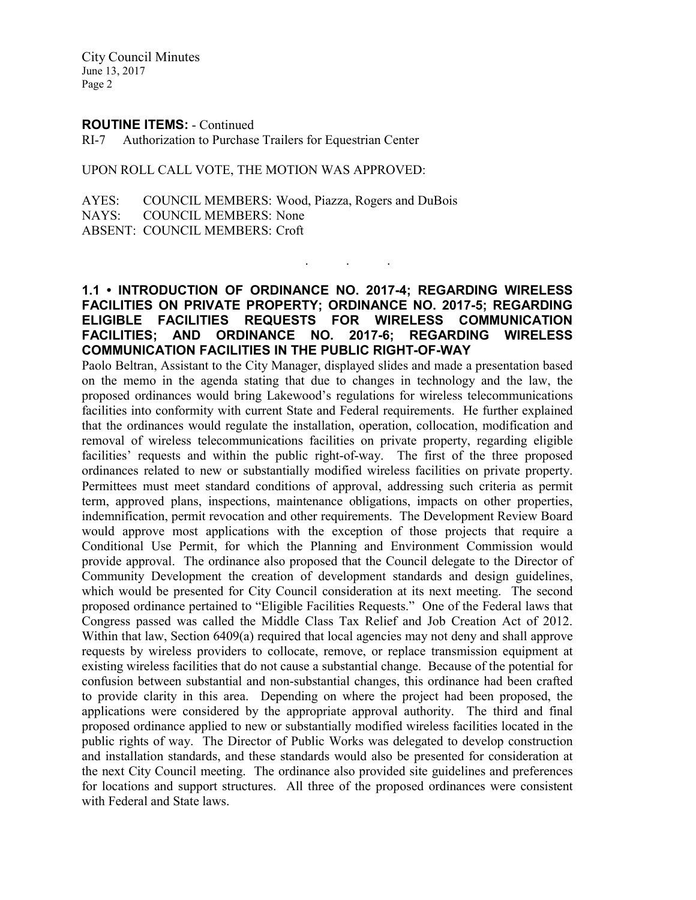#### ROUTINE ITEMS: - Continued

RI-7 Authorization to Purchase Trailers for Equestrian Center

#### UPON ROLL CALL VOTE, THE MOTION WAS APPROVED:

AYES: COUNCIL MEMBERS: Wood, Piazza, Rogers and DuBois NAYS: COUNCIL MEMBERS: None ABSENT: COUNCIL MEMBERS: Croft

## 1.1 • INTRODUCTION OF ORDINANCE NO. 2017-4; REGARDING WIRELESS FACILITIES ON PRIVATE PROPERTY; ORDINANCE NO. 2017-5; REGARDING ELIGIBLE FACILITIES REQUESTS FOR WIRELESS COMMUNICATION FACILITIES; AND ORDINANCE NO. 2017-6; REGARDING WIRELESS COMMUNICATION FACILITIES IN THE PUBLIC RIGHT-OF-WAY

. . .

Paolo Beltran, Assistant to the City Manager, displayed slides and made a presentation based on the memo in the agenda stating that due to changes in technology and the law, the proposed ordinances would bring Lakewood's regulations for wireless telecommunications facilities into conformity with current State and Federal requirements. He further explained that the ordinances would regulate the installation, operation, collocation, modification and removal of wireless telecommunications facilities on private property, regarding eligible facilities' requests and within the public right-of-way. The first of the three proposed ordinances related to new or substantially modified wireless facilities on private property. Permittees must meet standard conditions of approval, addressing such criteria as permit term, approved plans, inspections, maintenance obligations, impacts on other properties, indemnification, permit revocation and other requirements. The Development Review Board would approve most applications with the exception of those projects that require a Conditional Use Permit, for which the Planning and Environment Commission would provide approval. The ordinance also proposed that the Council delegate to the Director of Community Development the creation of development standards and design guidelines, which would be presented for City Council consideration at its next meeting. The second proposed ordinance pertained to "Eligible Facilities Requests." One of the Federal laws that Congress passed was called the Middle Class Tax Relief and Job Creation Act of 2012. Within that law, Section 6409(a) required that local agencies may not deny and shall approve requests by wireless providers to collocate, remove, or replace transmission equipment at existing wireless facilities that do not cause a substantial change. Because of the potential for confusion between substantial and non-substantial changes, this ordinance had been crafted to provide clarity in this area. Depending on where the project had been proposed, the applications were considered by the appropriate approval authority. The third and final proposed ordinance applied to new or substantially modified wireless facilities located in the public rights of way. The Director of Public Works was delegated to develop construction and installation standards, and these standards would also be presented for consideration at the next City Council meeting. The ordinance also provided site guidelines and preferences for locations and support structures. All three of the proposed ordinances were consistent with Federal and State laws.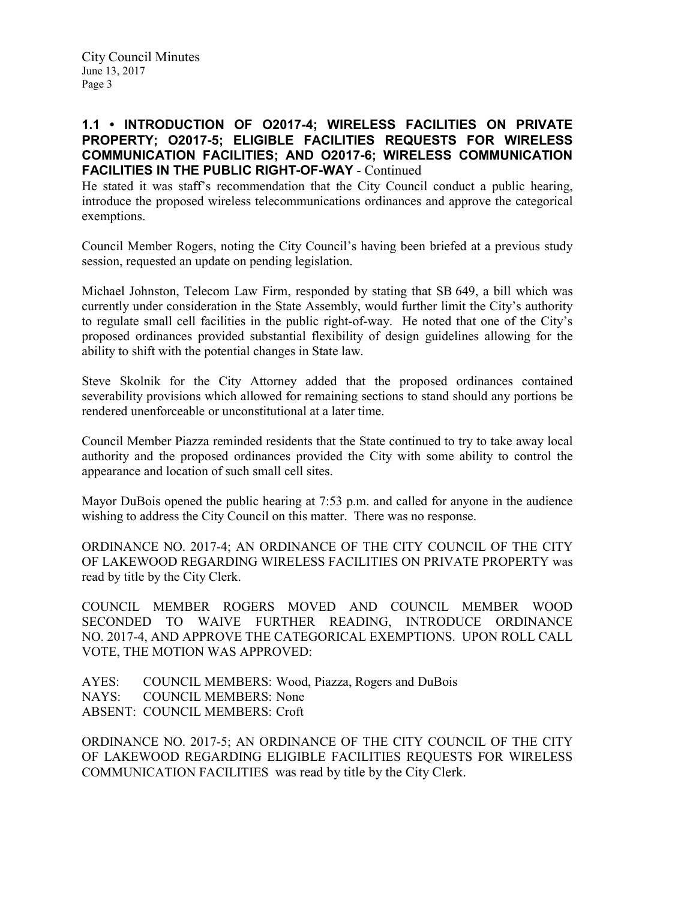## 1.1 • INTRODUCTION OF O2017-4; WIRELESS FACILITIES ON PRIVATE PROPERTY; O2017-5; ELIGIBLE FACILITIES REQUESTS FOR WIRELESS COMMUNICATION FACILITIES; AND O2017-6; WIRELESS COMMUNICATION FACILITIES IN THE PUBLIC RIGHT-OF-WAY - Continued

He stated it was staff's recommendation that the City Council conduct a public hearing, introduce the proposed wireless telecommunications ordinances and approve the categorical exemptions.

Council Member Rogers, noting the City Council's having been briefed at a previous study session, requested an update on pending legislation.

Michael Johnston, Telecom Law Firm, responded by stating that SB 649, a bill which was currently under consideration in the State Assembly, would further limit the City's authority to regulate small cell facilities in the public right-of-way. He noted that one of the City's proposed ordinances provided substantial flexibility of design guidelines allowing for the ability to shift with the potential changes in State law.

Steve Skolnik for the City Attorney added that the proposed ordinances contained severability provisions which allowed for remaining sections to stand should any portions be rendered unenforceable or unconstitutional at a later time.

Council Member Piazza reminded residents that the State continued to try to take away local authority and the proposed ordinances provided the City with some ability to control the appearance and location of such small cell sites.

Mayor DuBois opened the public hearing at 7:53 p.m. and called for anyone in the audience wishing to address the City Council on this matter. There was no response.

ORDINANCE NO. 2017-4; AN ORDINANCE OF THE CITY COUNCIL OF THE CITY OF LAKEWOOD REGARDING WIRELESS FACILITIES ON PRIVATE PROPERTY was read by title by the City Clerk.

COUNCIL MEMBER ROGERS MOVED AND COUNCIL MEMBER WOOD SECONDED TO WAIVE FURTHER READING, INTRODUCE ORDINANCE NO. 2017-4, AND APPROVE THE CATEGORICAL EXEMPTIONS. UPON ROLL CALL VOTE, THE MOTION WAS APPROVED:

AYES: COUNCIL MEMBERS: Wood, Piazza, Rogers and DuBois NAYS: COUNCIL MEMBERS: None ABSENT: COUNCIL MEMBERS: Croft

ORDINANCE NO. 2017-5; AN ORDINANCE OF THE CITY COUNCIL OF THE CITY OF LAKEWOOD REGARDING ELIGIBLE FACILITIES REQUESTS FOR WIRELESS COMMUNICATION FACILITIES was read by title by the City Clerk.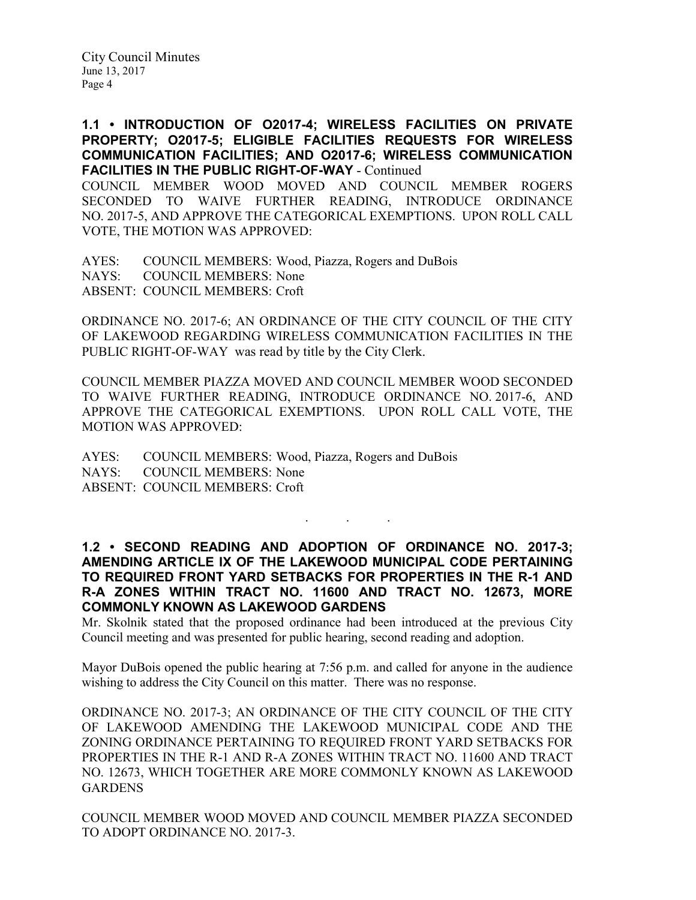1.1 • INTRODUCTION OF O2017-4; WIRELESS FACILITIES ON PRIVATE PROPERTY; O2017-5; ELIGIBLE FACILITIES REQUESTS FOR WIRELESS COMMUNICATION FACILITIES; AND O2017-6; WIRELESS COMMUNICATION FACILITIES IN THE PUBLIC RIGHT-OF-WAY - Continued

COUNCIL MEMBER WOOD MOVED AND COUNCIL MEMBER ROGERS SECONDED TO WAIVE FURTHER READING, INTRODUCE ORDINANCE NO. 2017-5, AND APPROVE THE CATEGORICAL EXEMPTIONS. UPON ROLL CALL VOTE, THE MOTION WAS APPROVED:

AYES: COUNCIL MEMBERS: Wood, Piazza, Rogers and DuBois NAYS: COUNCIL MEMBERS: None ABSENT: COUNCIL MEMBERS: Croft

ORDINANCE NO. 2017-6; AN ORDINANCE OF THE CITY COUNCIL OF THE CITY OF LAKEWOOD REGARDING WIRELESS COMMUNICATION FACILITIES IN THE PUBLIC RIGHT-OF-WAY was read by title by the City Clerk.

COUNCIL MEMBER PIAZZA MOVED AND COUNCIL MEMBER WOOD SECONDED TO WAIVE FURTHER READING, INTRODUCE ORDINANCE NO. 2017-6, AND APPROVE THE CATEGORICAL EXEMPTIONS. UPON ROLL CALL VOTE, THE MOTION WAS APPROVED:

AYES: COUNCIL MEMBERS: Wood, Piazza, Rogers and DuBois NAYS: COUNCIL MEMBERS: None ABSENT: COUNCIL MEMBERS: Croft

1.2 • SECOND READING AND ADOPTION OF ORDINANCE NO. 2017-3; AMENDING ARTICLE IX OF THE LAKEWOOD MUNICIPAL CODE PERTAINING TO REQUIRED FRONT YARD SETBACKS FOR PROPERTIES IN THE R-1 AND R-A ZONES WITHIN TRACT NO. 11600 AND TRACT NO. 12673, MORE COMMONLY KNOWN AS LAKEWOOD GARDENS

. . .

Mr. Skolnik stated that the proposed ordinance had been introduced at the previous City Council meeting and was presented for public hearing, second reading and adoption.

Mayor DuBois opened the public hearing at 7:56 p.m. and called for anyone in the audience wishing to address the City Council on this matter. There was no response.

ORDINANCE NO. 2017-3; AN ORDINANCE OF THE CITY COUNCIL OF THE CITY OF LAKEWOOD AMENDING THE LAKEWOOD MUNICIPAL CODE AND THE ZONING ORDINANCE PERTAINING TO REQUIRED FRONT YARD SETBACKS FOR PROPERTIES IN THE R-1 AND R-A ZONES WITHIN TRACT NO. 11600 AND TRACT NO. 12673, WHICH TOGETHER ARE MORE COMMONLY KNOWN AS LAKEWOOD **GARDENS** 

COUNCIL MEMBER WOOD MOVED AND COUNCIL MEMBER PIAZZA SECONDED TO ADOPT ORDINANCE NO. 2017-3.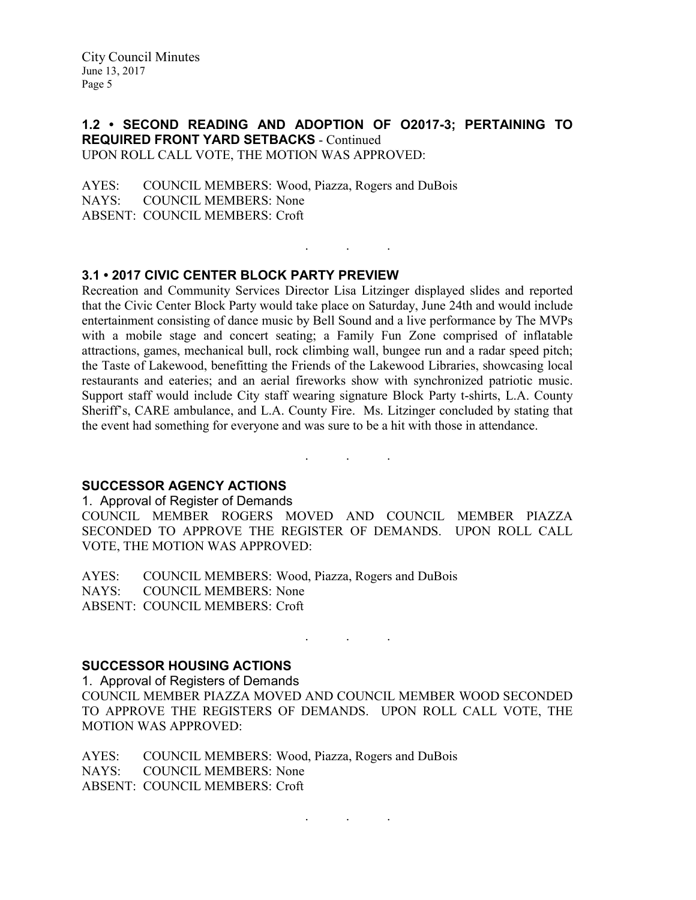#### 1.2 • SECOND READING AND ADOPTION OF O2017-3; PERTAINING TO REQUIRED FRONT YARD SETBACKS - Continued UPON ROLL CALL VOTE, THE MOTION WAS APPROVED:

AYES: COUNCIL MEMBERS: Wood, Piazza, Rogers and DuBois NAYS: COUNCIL MEMBERS: None ABSENT: COUNCIL MEMBERS: Croft

### 3.1 • 2017 CIVIC CENTER BLOCK PARTY PREVIEW

Recreation and Community Services Director Lisa Litzinger displayed slides and reported that the Civic Center Block Party would take place on Saturday, June 24th and would include entertainment consisting of dance music by Bell Sound and a live performance by The MVPs with a mobile stage and concert seating; a Family Fun Zone comprised of inflatable attractions, games, mechanical bull, rock climbing wall, bungee run and a radar speed pitch; the Taste of Lakewood, benefitting the Friends of the Lakewood Libraries, showcasing local restaurants and eateries; and an aerial fireworks show with synchronized patriotic music. Support staff would include City staff wearing signature Block Party t-shirts, L.A. County Sheriff's, CARE ambulance, and L.A. County Fire. Ms. Litzinger concluded by stating that the event had something for everyone and was sure to be a hit with those in attendance.

 $\mathcal{L}^{\mathcal{L}}$  . The set of the  $\mathcal{L}^{\mathcal{L}}$ 

SUCCESSOR AGENCY ACTIONS

1. Approval of Register of Demands COUNCIL MEMBER ROGERS MOVED AND COUNCIL MEMBER PIAZZA SECONDED TO APPROVE THE REGISTER OF DEMANDS. UPON ROLL CALL VOTE, THE MOTION WAS APPROVED:

. . .

AYES: COUNCIL MEMBERS: Wood, Piazza, Rogers and DuBois NAYS: COUNCIL MEMBERS: None ABSENT: COUNCIL MEMBERS: Croft

#### SUCCESSOR HOUSING ACTIONS

1. Approval of Registers of Demands COUNCIL MEMBER PIAZZA MOVED AND COUNCIL MEMBER WOOD SECONDED TO APPROVE THE REGISTERS OF DEMANDS. UPON ROLL CALL VOTE, THE MOTION WAS APPROVED:

. As we have a set of  $\mathcal{A}$  , and  $\mathcal{A}$ 

AYES: COUNCIL MEMBERS: Wood, Piazza, Rogers and DuBois NAYS: COUNCIL MEMBERS: None ABSENT: COUNCIL MEMBERS: Croft

. . .